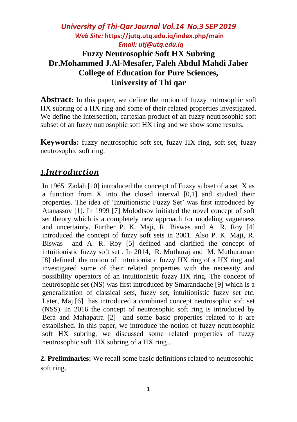# *University of Thi-Qar Journal Vol.14 No.3 SEP 2019 Web Site:* **<https://jutq.utq.edu.iq/index.php/main>**  *Email: utj@utq.edu.iq* **Fuzzy Neutrosophic Soft HX Subring Dr.Mohammed J.Al-Mesafer, Faleh Abdul Mahdi Jaber College of Education for Pure Sciences, University of Thi qar**

**Abstract:** In this paper, we define the notion of fuzzy nutrosophic soft HX subring of a HX ring and some of their related properties investigated. We define the intersection, cartesian product of an fuzzy neutrosophic soft subset of an fuzzy nutrosophic soft HX ring and we show some results.

**Keywords:** fuzzy neutrosophic soft set, fuzzy HX ring, soft set, fuzzy neutrosophic soft ring.

# *1.*

In 1965 Zadah [10] introduced the conceipt of Fuzzy subset of a set X as a function from X into the closed interval [0,1] and studied their properties. The idea of 'Intuitionistic Fuzzy Set' was first introduced by Atanassov [1]. In 1999 [7] Molodtsov initiated the novel concept of soft set theory which is a completely new approach for modeling vagueness and uncertainty. Further P. K. Maji, R. Biswas and A. R. Roy [4] introduced the concept of fuzzy soft sets in 2001. Also P. K. Maji, R. Biswas and A. R. Roy [5] defined and clarified the concept of intuitionistic fuzzy soft set . In 2014, R. Muthuraj and M. Muthuraman [8] defined the notion of intuitionistic fuzzy HX ring of a HX ring and investigated some of their related properties with the necessity and possibility operators of an intuitionistic fuzzy HX ring. The concept of neutrosophic set (NS) was first introduced by Smarandache [9] which is a generalization of classical sets, fuzzy set, intuitionistic fuzzy set etc. Later, Maji[6] has introduced a combined concept neutrosophic soft set (NSS). In 2016 the concept of neutrosophic soft ring is introduced by Bera and Mahapatra [2] and some basic properties related to it are established. In this paper, we introduce the notion of fuzzy neutrosophic soft HX subring, we discussed some related properties of fuzzy neutrosophic soft HX subring of a HX ring .

**2. Preliminaries:** We recall some basic definitions related to neutrosophic soft ring.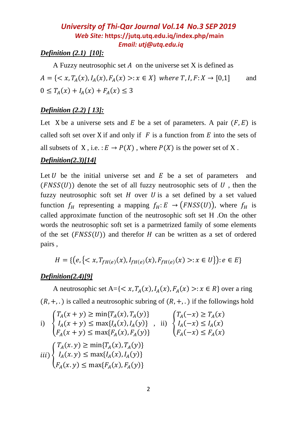### *Definition (2.1) [10]:*

A Fuzzy neutrosophic set  $A$  on the universe set  $X$  is defined as  $A = \{ \langle x, T_A(x), I_A(x), F_A(x) \rangle : x \in X \}$  where  $T, I, F: X \to [0,1]$  and  $0 \leq T_A(x) + I_A(x) + F_A(x) \leq 3$ 

#### *Definition (2.2) [ 13]:*

Let X be a universe sets and E be a set of parameters. A pair  $(F, E)$  is called soft set over X if and only if  $F$  is a function from  $E$  into the sets of all subsets of X, i.e.  $:E \to P(X)$ , where  $P(X)$  is the power set of X.

#### *Definition(2.3)[14]*

Let  $U$  be the initial universe set and  $E$  be a set of parameters and  $(FNSS(U))$  denote the set of all fuzzy neutrosophic sets of U, then the fuzzy neutrosophic soft set  $H$  over  $U$  is a set defined by a set valued function  $f_H$  representing a mapping  $f_H : E \to (FNSS(U))$ , where  $f_H$  is called approximate function of the neutrosophic soft set H .On the other words the neutrosophic soft set is a parmetrized family of some elements of the set  $(FNSS(U))$  and therefor H can be written as a set of ordered pairs ,

$$
H = \{ (e, \{ < x, T_{fH(e)}(x), I_{fH(e)}(x), F_{fH(e)}(x) > : x \in U \}) : e \in E \}
$$

#### *Definition(2.4)[9]*

A neutrosophic set  $A = \{ \langle x, T_A(x), I_A(x), F_A(x) \rangle : x \in R \}$  over a ring  $(R, +, \cdot)$  is called a neutrosophic subring of  $(R, +, \cdot)$  if the followings hold

i) 
$$
\begin{cases} T_A(x + y) \ge \min\{T_A(x), T_A(y)\} \\ I_A(x + y) \le \max\{I_A(x), I_A(y)\} \\ F_A(x + y) \le \max\{F_A(x), F_A(y)\} \end{cases}
$$
, ii) 
$$
\begin{cases} T_A(-x) \ge T_A(x) \\ I_A(-x) \le I_A(x) \\ F_A(-x) \le I_A(x) \end{cases}
$$
  
iii) 
$$
\begin{cases} T_A(x, y) \ge \min\{T_A(x), T_A(y)\} \\ I_A(x, y) \le \max\{I_A(x), I_A(y)\} \\ F_A(x, y) \le \max\{F_A(x), F_A(y)\} \end{cases}
$$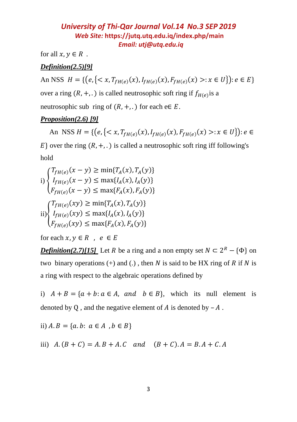for all  $x, y \in R$ .

## *Definition(2.5)[9]*

An NSS  $H = \{ (e, \{ < x, T_{fH(e)}(x), I_{fH(e)}(x), F_{fH(e)}(x) > : x \in U \}) : e \in E \}$ 

over a ring  $(R, +, \cdot)$  is called neutrosophic soft ring if  $f_{H(e)}$  is a

neutrosophic sub ring of  $(R, +, \cdot)$  for each e $\in E$ .

### *Proposition(2.6) [9]*

An NSS  $H = \{ (e, \{ < x, T_{fH(e)}(x), I_{fH(e)}(x), F_{fH(e)}(x) > : x \in U \}) : e \in$ 

 $E$ } over the ring  $(R, +, .$ ) is called a neutrosophic soft ring iff following's hold

$$
\prod_{i=1}^{T_{fH(e)}(x-y)} \ge \min\{T_A(x), T_A(y)\}
$$
\n
$$
\prod_{i=1}^{T_{fH(e)}(x-y)} \le \max\{I_A(x), I_A(y)\}
$$
\n
$$
\prod_{i=1}^{T_{fH(e)}(x-y)} \ge \min\{T_A(x), T_A(y)\}
$$
\n
$$
\prod_{i=1}^{T_{fH(e)}(xy)} \le \max\{I_A(x), I_A(y)\}
$$
\n
$$
\prod_{f_{fH(e)}(xy) \le \max\{F_A(x), F_A(y)\}}
$$

for each  $x, y \in R$ ,  $e \in E$ 

*Definition(2.7)[15]* Let *R* be a ring and a non empty set  $N \subset 2^R - {\Phi}$  on two binary operations  $(+)$  and  $(.)$ , then N is said to be HX ring of R if N is a ring with respect to the algebraic operations defined by

i)  $A + B = \{a + b : a \in A$ , and  $b \in B\}$ , which its null element is denoted by Q, and the negative element of  $A$  is denoted by  $-A$ .

ii) 
$$
A \cdot B = \{a \cdot b : a \in A, b \in B\}
$$

iii)  $A.(B + C) = A.B + A.C$  and  $(B + C).A = B.A + C.A$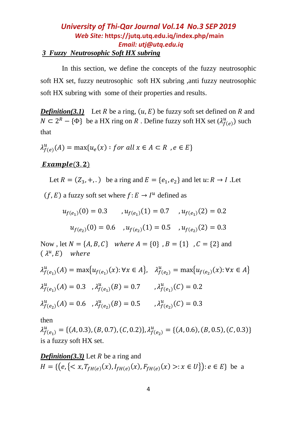## *University of Thi-Qar Journal Vol.14 No.3 SEP 2019 Web Site:* **<https://jutq.utq.edu.iq/index.php/main>**  *Email: utj@utq.edu.iq 3 Fuzzy Neutrosophic Soft HX subring*

In this section, we define the concepts of the fuzzy neutrosophic soft HX set, fuzzy neutrosophic soft HX subring ,anti fuzzy neutrosophic soft HX subring with some of their properties and results.

*Definition(3.1)* Let R be a ring,  $(u, E)$  be fuzzy soft set defined on R and  $N \subset 2^R - \{ \Phi \}$  be a HX ring on R. Define fuzzy soft HX set  $(\lambda_{f(e)}^u)$  such that

 $\lambda_{f(e)}^u(A) = \max\{u_e(x) : for all x \in A \subset R , e \in E\}$ 

### $Example(3.2)$

Let  $R = (Z_3, +, .)$  be a ring and  $E = \{e_1, e_2\}$  and let  $u: R \rightarrow I$ . Let

 $(f, E)$  a fuzzy soft set where  $f: E \to I^u$  defined as

$$
u_{f(e_1)}(0) = 0.3 \qquad u_{f(e_1)}(1) = 0.7 \qquad u_{f(e_1)}(2) = 0.2
$$

$$
u_{f(e_2)}(0) = 0.6 \quad u_{f(e_2)}(1) = 0.5 \quad u_{f(e_2)}(2) = 0.3
$$

Now, let  $N = \{A, B, C\}$  where  $A = \{0\}$ ,  $B = \{1\}$ ,  $C = \{2\}$  and  $(\lambda^u, E)$  where

$$
\lambda_{f(e_1)}^u(A) = \max\{u_{f(e_1)}(x): \forall x \in A\}, \quad \lambda_{f(e_2)}^u = \max\{u_{f(e_2)}(x): \forall x \in A\}
$$
  

$$
\lambda_{f(e_1)}^u(A) = 0.3 \quad , \lambda_{f(e_1)}^u(B) = 0.7 \quad , \lambda_{f(e_1)}^u(C) = 0.2
$$
  

$$
\lambda_{f(e_2)}^u(A) = 0.6 \quad , \lambda_{f(e_2)}^u(B) = 0.5 \quad , \lambda_{f(e_2)}^u(C) = 0.3
$$

then

 $\lambda_{f(e_1)}^u = \{(A, 0.3), (B, 0.7), (C, 0.2)\}, \lambda_{f(e_2)}^u = \{(A, 0.6), (B, 0.5), (C, 0.3)\}$ is a fuzzy soft HX set.

*Definition(3.3)* Let  $R$  be a ring and  $H = \{ (e, \{ < x, T_{fH(e)}(x), I_{fH(e)}(x), F_{fH(e)}(x) > : x \in U \}) : e \in E \}$  be a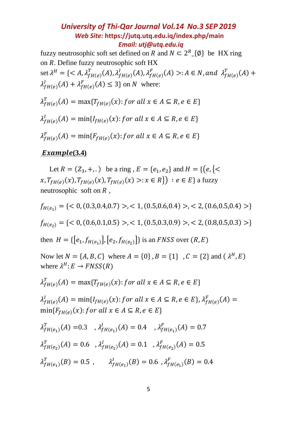fuzzy neutrosophic soft set defined on R and  $N \subset 2^R(\emptyset)$  be HX ring on  $R$ . Define fuzzy neutrosophic soft  $HX$ set  $\lambda^H = \{ \langle A, \lambda_{fH(e)}^T(A), \lambda_{fH(e)}^I(A), \lambda_{fH(e)}^F(A) \rangle : A \in N$ , and  $\lambda_{fH(e)}^T(A)$  +  $\lambda_{fH(e)}^I(A) + \lambda_{fH(e)}^F(A) \leq 3$  on *N* where:

$$
\lambda_{fH(e)}^T(A) = \max\{T_{fH(e)}(x): \text{ for all } x \in A \subseteq R, e \in E\}
$$
\n
$$
\lambda_{fH(e)}^I(A) = \min\{I_{fH(e)}(x): \text{ for all } x \in A \subseteq R, e \in E\}
$$
\n
$$
\lambda_{fH(e)}^F(A) = \min\{F_{fH(e)}(x): \text{ for all } x \in A \subseteq R, e \in E\}
$$

#### *<u>Example*(3.4)</u>

Let  $R = (Z_3, +, .)$  be a ring,  $E = \{e_1, e_2\}$  and  $H = \{ (e, \{ <$  $x, T_{fH(e)}(x), T_{fH(e)}(x), T_{fH(e)}(x) >: x \in R$  }  $: e \in E$  } a fuzzy neutrosophic soft on  $R$ ,

 $f_{H(e_1)} = \{ < 0, (0.3, 0.4, 0.7) > 0 < 1, (0.5, 0.6, 0.4) > 0 < 2, (0.6, 0.5, 0.4) > 0 \}$  $f_{H(e_2)} = \{ < 0, (0.6, 0.1, 0.5) >, < 1, (0.5, 0.3, 0.9) >, < 2, (0.8, 0.5, 0.3) > \}$ then  $H = \{ [e_1, f_{H(e_1)}], [e_2, f_{H(e_2)}] \}$  is an *FNSS* over  $(R, E)$ Now let  $N = \{A, B, C\}$  where  $A = \{0\}$ ,  $B = \{1\}$ ,  $C = \{2\}$  and  $(A^H, E)$ where  $\lambda^H$ :  $E \rightarrow F N S S(R)$  $\lambda^T_{fH(e)}(A) = \max\{T_{fH(e)}(x): for all x \in A \subseteq R, e \in E\}$  $\lambda^l_{fH(e)}(A) = \min\{l_{fH(e)}(x) : \text{for all } x \in A \subseteq R, e \in E\}, \lambda^F_{fH(e)}(A) =$  $min{F_{fH(e)}(x)}$ : for all  $x \in A \subseteq R, e \in E$  $\lambda_{fH(e_1)}^T(A) = 0.3$ ,  $\lambda_{fH(e_1)}^I(A) = 0.4$ ,  $\lambda_{fH(e_1)}^F(A) = 0.7$  $\lambda_{fH(e_2)}^T(A) = 0.6$ ,  $\lambda_{fH(e_2)}^I(A) = 0.1$ ,  $\lambda_{fH(e_2)}^F(A) = 0.5$  $\lambda_{fH(e_1)}^T(B) = 0.5$ ,  $\lambda_{fH(e_1)}^T(B) = 0.6$ ,  $\lambda_{fH(e_1)}^F(B) = 0.4$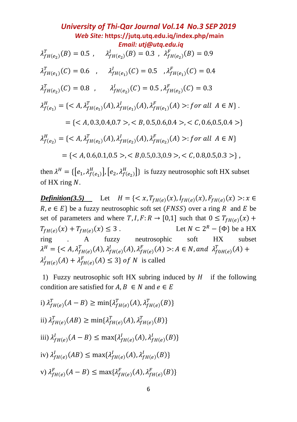*University of Thi-Qar Journal Vol.14 No.3 SEP 2019 Web Site:* **<https://jutq.utq.edu.iq/index.php/main>**  *Email: utj@utq.edu.iq*  $\lambda_{fH(e_2)}^T(B) = 0.5$ ,  $\lambda_{fH(e_2)}^I(B) = 0.3$ ,  $\lambda_{fH(e_2)}^F(B) = 0.9$  $\lambda_{fH(e_1)}^T(C) = 0.6$ ,  $\lambda_{fH(e_1)}^T(C) = 0.5$ ,  $\lambda_{fH(e_1)}^F(C) = 0.4$  $\lambda_{fH(e_2)}^T(C) = 0.8$ ,  $\lambda_{fH(e_2)}^I(C) = 0.5$ ,  $\lambda_{fH(e_2)}^F(C) = 0.3$  $\lambda_{f(e_1)}^H = \{ \langle A, \lambda_{fH(e_1)}^T(A), \lambda_{fH(e_1)}^I(A), \lambda_{fH(e_1)}^F(A) \rangle : for all A \in N \}.$  $= \{ < A, 0.3, 0.4, 0.7 > c < B, 0.5, 0.6, 0.4 > c < C, 0.6, 0.5, 0.4 > \}$  $\lambda_{f(e_2)}^H = \{ \langle A, \lambda_{fH(e_2)}^T(A), \lambda_{fH(e_2)}^I(A), \lambda_{fH(e_2)}^F(A) \rangle : for all A \in N \}$  $=$  {<  $\leq$   $A, 0.6, 0.1, 0.5$  >,  $\leq$   $B, 0.5, 0.3, 0.9$  >,  $\leq$   $C, 0.8, 0.5, 0.3$  >},

then  $\lambda^H = \{ [e_1, \lambda_{f(e_1)}^H], [e_2, \lambda_{f(e_2)}^H] \}$  is fuzzy neutrosophic soft HX subset of  $HX$  ring  $N$ .

**Definition(3.5)** Let  $H = \{ \langle x, T_{fH(e)}(x), I_{fH(e)}(x), F_{fH(e)}(x) \rangle : x \in$  $R, e \in E$  be a fuzzy neutrosophic soft set (*FNSS*) over a ring R and *E* be set of parameters and where  $T, I, F: R \to [0,1]$  such that  $0 \leq T_{fH(e)}(x)$  +  $T_{fH(e)}(x) + T_{fH(e)}$  $(x) \leq 3$ . Let  $N \subset 2^R - \{\Phi\}$  be a HX ring . A fuzzy neutrosophic soft HX subset  $\lambda^H = \{: A \in N, \text{and } \lambda_{f0H(e)}^T(A) +$  $\lambda^I_{fH(e)}(A) + \lambda^F_{fH(e)}(A) \leq 3$  of N is called

1) Fuzzy neutrosophic soft HX subring induced by  $H$  if the following condition are satisfied for  $A, B \in N$  and  $e \in E$ 

i) 
$$
\lambda_{fH(e)}^T(A - B) \ge \min{\lambda_{fH(e)}^T(A), \lambda_{fH(e)}^T(B)}
$$
  
\nii)  $\lambda_{fH(e)}^T(AB) \ge \min{\lambda_{fH(e)}^T(A), \lambda_{fH(e)}^T(B)}$   
\niii)  $\lambda_{fH(e)}^I(A - B) \le \max{\lambda_{fH(e)}^I(A), \lambda_{fH(e)}^I(B)}$   
\niv)  $\lambda_{fH(e)}^I(AB) \le \max{\lambda_{fH(e)}^I(A), \lambda_{fH(e)}^I(B)}$   
\nv)  $\lambda_{fH(e)}^F(A - B) \le \max{\lambda_{fH(e)}^F(A), \lambda_{fH(e)}^F(B)}$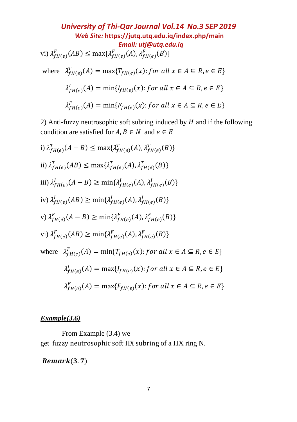*University of Thi-Qar Journal Vol.14 No.3 SEP 2019 Web Site:* **<https://jutq.utq.edu.iq/index.php/main>**  *Email: utj@utq.edu.iq* vi)  $\lambda_{fH(e)}^F(AB) \le \max\{\lambda_{fH(e)}^F(A), \lambda_{fH(e)}^F(B)\}\$ where  $\lambda_{fH(e)}^T(A) = \max\{T_{fH(e)}(x):$  for all  $x \in A \subseteq R, e \in E\}$  $\lambda^l_{fH(e)}(A) = \min\{l_{fH(e)}(x): for all x \in A \subseteq R, e \in E\}$  $\lambda_{fH(e)}^F(A) = \min\{F_{fH(e)}(x): for all x \in A \subseteq R, e \in E\}$ 

2) Anti-fuzzy neutrosophic soft subring induced by  $H$  and if the following condition are satisfied for  $A, B \in N$  and  $e \in E$ 

i) 
$$
\lambda_{fH(e)}^T(A - B) \le \max{\lambda_{fH(e)}^T(A), \lambda_{fH(e)}^T(B)}
$$
  
\nii)  $\lambda_{fH(e)}^T(AB) \le \max{\lambda_{fH(e)}^T(A), \lambda_{fH(e)}^T(B)}$   
\niii)  $\lambda_{fH(e)}^I(A - B) \ge \min{\lambda_{fH(e)}^I(A), \lambda_{fH(e)}^I(B)}$   
\niv)  $\lambda_{fH(e)}^I(AB) \ge \min{\lambda_{fH(e)}^I(A), \lambda_{fH(e)}^I(B)}$   
\nv)  $\lambda_{fH(e)}^F(A - B) \ge \min{\lambda_{fH(e)}^F(A), \lambda_{fH(e)}^F(B)}$   
\nv)  $\lambda_{fH(e)}^F(AB) \ge \min{\lambda_{fH(e)}^F(A), \lambda_{fH(e)}^F(B)}$   
\nwhere  $\lambda_{fH(e)}^T(A) = \min{\{T_{fH(e)}(X): \text{ for all } x \in A \subseteq R, e \in E\}}$   
\n $\lambda_{fH(e)}^I(A) = \max{\{f_{fH(e)}(x): \text{ for all } x \in A \subseteq R, e \in E\}}$   
\n $\lambda_{fH(e)}^F(A) = \max{\{f_{fH(e)}(x): \text{ for all } x \in A \subseteq R, e \in E\}}$ 

#### *Example(3.6)*

From Example (3.4) we get fuzzy neutrosophic soft HX subring of a HX ring N.

### $Remark(3.7)$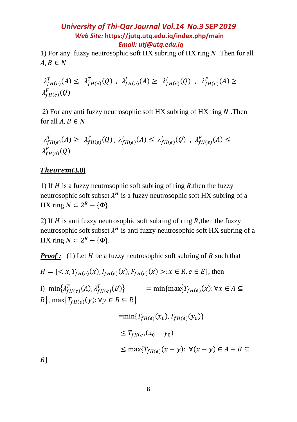1) For any fuzzy neutrosophic soft HX subring of HX ring  $N$ . Then for all  $A, B \in N$ 

$$
\lambda_{fH(e)}^T(A) \leq \lambda_{fH(e)}^T(Q) , \lambda_{fH(e)}^I(A) \geq \lambda_{fH(e)}^I(Q) , \lambda_{fH(e)}^F(A) \geq \lambda_{fH(e)}^F(Q)
$$

2) For any anti fuzzy neutrosophic soft HX subring of HX ring  $N$ . Then for all  $A, B \in N$ 

$$
\lambda_{fH(e)}^T(A) \geq \lambda_{fH(e)}^T(Q), \lambda_{fH(e)}^I(A) \leq \lambda_{fH(e)}^I(Q), \lambda_{fH(e)}^F(A) \leq \lambda_{fH(e)}^F(Q)
$$

### **(3.8)**

1) If  $H$  is a fuzzy neutrosophic soft subring of ring  $R$ , then the fuzzy neutrosophic soft subset  $\lambda^H$  is a fuzzy neutrosophic soft HX subring of a HX ring  $N \subset 2^R - {\Phi}$ .

2) If  $H$  is anti fuzzy neutrosophic soft subring of ring  $R$ , then the fuzzy neutrosophic soft subset  $\lambda^H$  is anti fuzzy neutrosophic soft HX subring of a HX ring  $N \subset 2^R - {\Phi}$ .

*Proof*: (1) Let  $H$  be a fuzzy neutrosophic soft subring of  $R$  such that

$$
H = \{ \langle x, T_{fH(e)}(x), I_{fH(e)}(x), F_{fH(e)}(x) \rangle : x \in R, e \in E \}, \text{ then}
$$

i)  $\min\{\lambda_{fH(e)}^T(A),\lambda_{fH(e)}^T(B)\}$  =  $\min\{\max\{T_{fH(e)}(x): \forall x \in A \subseteq$  $R$ }, max ${T}_{fH(e)}(y)$ :  $\forall y \in B \subseteq R$ }

$$
= \min\{T_{fH(e)}(x_0), T_{fH(e)}(y_0)\}
$$
  
\n
$$
\leq T_{fH(e)}(x_0 - y_0)
$$
  
\n
$$
\leq \max\{T_{fH(e)}(x - y): \forall (x - y) \in A - B \subseteq
$$

 $R$ }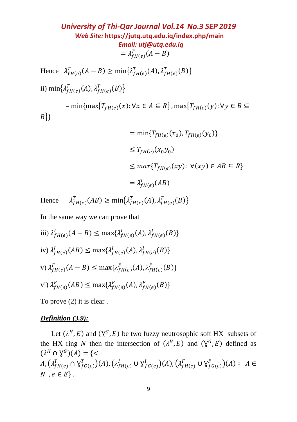Hence  $\lambda_{fH(e)}^T(A-B) \ge \min\{\lambda_{fH(e)}^T(A), \lambda_{fH(e)}^T(B)\}\$ ii) min $\left\{\lambda_{fH(e)}^T(A), \lambda_{fH(e)}^T(B)\right\}$  $\mathcal{L} = \min\{\max\{T_{fH(e)}(x): \forall x \in A \subseteq R\}$ ,  $\max\{T_{fH(e)}(y): \forall y \in B \subseteq R\}$  $R$ }}

$$
= \min\{T_{fH(e)}(x_0), T_{fH(e)}(y_0)\}
$$
  
\n
$$
\leq T_{fH(e)}(x_0y_0)
$$
  
\n
$$
\leq \max\{T_{fH(e)}(xy): \forall (xy) \in AB \subseteq R\}
$$
  
\n
$$
= \lambda_{fH(e)}^T(AB)
$$

Hence  $\lambda_{fH(e)}^T(AB) \ge \min\{\lambda_{fH(e)}^T(A), \lambda_{fH(e)}^T(B)\}\$ 

In the same way we can prove that

iii) 
$$
\lambda_{fH(e)}^l(A - B) \le \max\{\lambda_{fH(e)}^l(A), \lambda_{fH(e)}^l(B)\}\)
$$
  
iv)  $\lambda_{fH(e)}^l(AB) \le \max\{\lambda_{fH(e)}^l(A), \lambda_{fH(e)}^l(B)\}\$   
v)  $\lambda_{fH(e)}^F(A - B) \le \max\{\lambda_{fH(e)}^F(A), \lambda_{fH(e)}^F(B)\}\$   
vi)  $\lambda_{fH(e)}^F(AB) \le \max\{\lambda_{fH(e)}^F(A), \lambda_{fH(e)}^F(B)\}\$ 

To prove (2) it is clear .

#### *Definition (3.9):*

Let  $(\lambda^H, E)$  and  $(\lambda^G, E)$  be two fuzzy neutrosophic soft HX subsets of the HX ring N then the intersection of  $(\lambda^H, E)$  and  $(\lambda^G, E)$  defined as  $(\lambda^H \cap \mathcal{Y}^G)(A) = \{ \leq$  $A, (\lambda_{fH(e)}^T \cap Y_{fG(e)}^T)(A), (\lambda_{fH(e)}^I \cup Y_{fG(e)}^I)(A), (\lambda_{fH(e)}^F \cup Y_{fG(e)}^F)(A): A \in$ N,  $e \in E$ .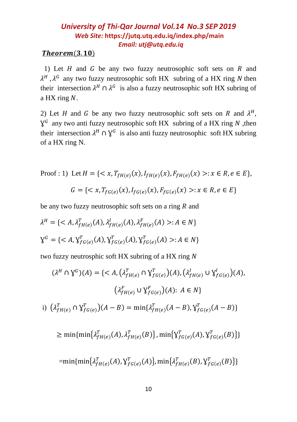### $Theorem (3.10)$

1) Let  $H$  and  $G$  be any two fuzzy neutrosophic soft sets on  $R$  and  $\lambda^H$ ,  $\lambda^G$  any two fuzzy neutrosophic soft HX subring of a HX ring N then their intersection  $\lambda^H \cap \lambda^G$  is also a fuzzy neutrosophic soft HX subring of a HX ring  $N$ .

2) Let H and G be any two fuzzy neutrosophic soft sets on R and  $\lambda^H$ ,  $\mathbf{Y}^G$  any two anti fuzzy neutrosophic soft HX subring of a HX ring N, then their intersection  $\lambda^H \cap \gamma^G$  is also anti fuzzy neutrosophic soft HX subring of a HX ring N.

Proof: 1) Let 
$$
H = \{ \langle x, T_{fH(e)}(x), I_{fH(e)}(x), F_{fH(e)}(x) \rangle : x \in R, e \in E \},
$$
  
 $G = \{ \langle x, T_{fG(e)}(x), I_{fG(e)}(x), F_{fG(e)}(x) \rangle : x \in R, e \in E \}$ 

be any two fuzzy neutrosophic soft sets on a ring  $R$  and

$$
\lambda^H = \{ \langle A, \lambda_{fH(e)}^T(A), \lambda_{fH(e)}^I(A), \lambda_{fH(e)}^F(A) \rangle : A \in N \}
$$
  

$$
\lambda^G = \{ \langle A, \lambda_{fG(e)}^T(A), \lambda_{fG(e)}^T(A), \lambda_{fG(e)}^T(A) \rangle : A \in N \}
$$

two fuzzy neutrosphic soft HX subring of a HX ring

$$
(\lambda^{H} \cap \mathbf{Y}^{G})(A) = \{< A, (\lambda_{fH(e)}^{T} \cap \mathbf{Y}_{fG(e)}^{T})(A), (\lambda_{fH(e)}^{I} \cup \mathbf{Y}_{fG(e)}^{I})(A),
$$

$$
(\lambda_{fH(e)}^{F} \cup \mathbf{Y}_{fG(e)}^{F})(A): A \in N\}
$$
  
i) 
$$
(\lambda_{fH(e)}^{T} \cap \mathbf{Y}_{fG(e)}^{T})(A - B) = \min\{\lambda_{fH(e)}^{T}(A - B), \mathbf{Y}_{fG(e)}^{T}(A - B)\}
$$

$$
\geq \min\{\min\{\lambda_{fH(e)}^{T}(A), \lambda_{fH(e)}^{T}(B)\}, \min\{\mathbf{Y}_{fG(e)}^{T}(A), \mathbf{Y}_{fG(e)}^{T}(B)\}\}
$$

$$
= \min\{\min\{\lambda_{fH(e)}^{T}(A), \mathbf{Y}_{fG(e)}^{T}(A)\}, \min\{\lambda_{fH(e)}^{T}(B), \mathbf{Y}_{fG(e)}^{T}(B)\}\}
$$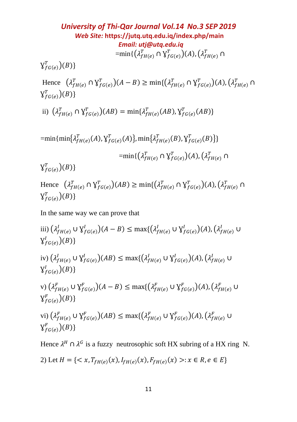*University of Thi-Qar Journal Vol.14 No.3 SEP 2019 Web Site:* **<https://jutq.utq.edu.iq/index.php/main>**  *Email: utj@utq.edu.iq*  $=\!\min\{\big(\lambda_{fH(e)}^{T}\cap \mathsf{Y}_{fG(e)}^{T}\big)(A),\big(\lambda_{fH(e)}^{T}\cap$ 

 $\operatorname{\mathsf{Y}}_{fG(e)}^T)(B)\}$ 

Hence  $(\lambda_{fH(e)}^T \cap Y_{fG(e)}^T)(A - B) \ge \min\{(\lambda_{fH(e)}^T \cap Y_{fG(e)}^T)(A), (\lambda_{fH(e)}^T \cap Y_{fG(e)}^T)(A)\}$  $\operatorname{\mathsf{Y}}_{fG(e)}^T)(B)\}$ 

ii)  $(\lambda_{fH(e)}^T \cap \mathbf{Y}_{fG(e)}^T)(AB) = \min{\{\lambda_{fH(e)}^T(AB), \mathbf{Y}_{fG(e)}^T(AB)\}}$ 

 $=\!\min\{\min\{\lambda_{fH(e)}^{T}(A),\lambda_{fG(e)}^{T}(A)\},\min\{\lambda_{fH(e)}^{T}(B),\lambda_{fG(e)}^{T}(B)\}\}$  $=\!\min\{\big(\lambda_{fH(e)}^T\cap \mathsf{Y}_{fG(e)}^T\big)(A),\big(\lambda_{fH(e)}^T\cap$  $\chi_{fG(e)}^{T})(B)\}$ 

Hence  $(\lambda_{fH(e)}^T \cap Y_{fG(e)}^T)(AB) \ge \min\{(\lambda_{fH(e)}^T \cap Y_{fG(e)}^T)(A), (\lambda_{fH(e)}^T \cap Y_{fG(e)}^T)(A)\}$  $\operatorname{\mathsf{Y}}_{fG(e)}^T)(B)\}$ 

In the same way we can prove that

iii)  $(\lambda_{fH(e)}^l \cup \mathcal{Y}_{fG(e)}^l)(A-B) \leq \max\{(\lambda_{fH(e)}^l \cup \mathcal{Y}_{fG(e)}^l)(A), (\lambda_{fH(e)}^l \cup$  $\bigvee_{fG(e)}^{I}(B)\}$ iv)  $(\lambda_{fH(e)}^l \cup \mathcal{Y}_{fG(e)}^l)(AB) \le \max\{(\lambda_{fH(e)}^l \cup \mathcal{Y}_{fG(e)}^l)(A), (\lambda_{fH(e)}^l \cup$  $\mathsf{Y}_{fG(e)}^{I}(B)\}$ v)  $(\lambda_{fH(e)}^F \cup \mathsf{Y}_{fG(e)}^F)(A-B) \leq \max\{(\lambda_{fH(e)}^F \cup \mathsf{Y}_{fG(e)}^F)(A), (\lambda_{fH(e)}^F \cup$  $\mathcal{Y}_{fG(e)}^{F})(B)\}$ vi)  $(\lambda_{fH(e)}^F \cup \mathcal{Y}_{fG(e)}^F)(AB) \le \max\{(\lambda_{fH(e)}^F \cup \mathcal{Y}_{fG(e)}^F)(A), (\lambda_{fH(e)}^F \cup$  $\mathcal{Y}_{f G(e)}^F$  $(B)$ } Hence  $\lambda^H \cap \lambda^G$  is a fuzzy neutrosophic soft HX subring of a HX ring N.

2) Let 
$$
H = \{ \langle x, T_{fH(e)}(x), I_{fH(e)}(x), F_{fH(e)}(x) \rangle : x \in R, e \in E \}
$$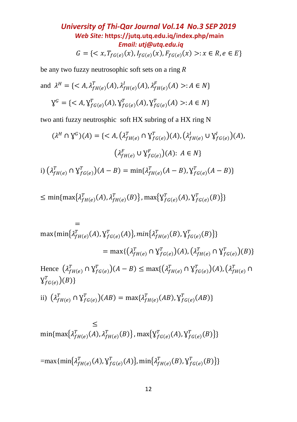University of Thi-Qar Journal Vol.14 No.3 SEP 2019

\nWeb Site: <https://jutq.utq.edu.iq/index.php/main>

\n
$$
G = \{ \langle x, T_{fG(e)}(x), I_{fG(e)}(x), F_{fG(e)}(x) \rangle : x \in R, e \in E \}
$$

be any two fuzzy neutrosophic soft sets on a ring  $R$ 

and 
$$
\lambda^H = \{ \langle A, \lambda_{fH(e)}^T(A), \lambda_{fH(e)}^I(A), \lambda_{fH(e)}^F(A) \rangle : A \in N \}
$$
  

$$
\mathbf{Y}^G = \{ \langle A, \mathbf{Y}_{fG(e)}^T(A), \mathbf{Y}_{fG(e)}^T(A), \mathbf{Y}_{fG(e)}^T(A) \rangle : A \in N \}
$$

two anti fuzzy neutrosphic soft HX subring of a HX ring N

$$
(\lambda^H \cap \mathbf{Y}^G)(A) = \{
$$
(\lambda_{fH(e)}^F \cup \mathbf{Y}_{fG(e)}^F)(A): A \in N\}
$$
  
i) 
$$
(\lambda_{fH(e)}^T \cap \mathbf{Y}_{fG(e)}^T)(A - B) = \min\{\lambda_{fH(e)}^T(A - B), \mathbf{Y}_{fG(e)}^T(A - B)\}
$$
$$

$$
\leq \min\{\max\{\lambda_{fH(e)}^T(A), \lambda_{fH(e)}^T(B)\}, \max\{\lambda_{fG(e)}^T(A), \lambda_{fG(e)}^T(B)\}\}\
$$

$$
= \max{\min\{\lambda_{fH(e)}^T(A), \lambda_{fG(e)}^T(A)\}}, \min\{\lambda_{fH(e)}^T(B), \lambda_{fG(e)}^T(B)\}\}\
$$
  
\n
$$
= \max\{(\lambda_{fH(e)}^T \cap \lambda_{fG(e)}^T)(A), (\lambda_{fH(e)}^T \cap \lambda_{fG(e)}^T)(B)\}\
$$
  
\nHence  $(\lambda_{fH(e)}^T \cap \lambda_{fG(e)}^T)(A - B) \leq \max\{(\lambda_{fH(e)}^T \cap \lambda_{fG(e)}^T)(A), (\lambda_{fH(e)}^T \cap \lambda_{fG(e)}^T)(B)\}\$   
\nii)  $(\lambda_{fH(e)}^T \cap \lambda_{fG(e)}^T)(AB) = \max\{\lambda_{fH(e)}^T(AB), \lambda_{fG(e)}^T(AB)\}\$ 

$$
\leq \min\{\max\{\lambda_{fH(e)}^T(A), \lambda_{fH(e)}^T(B)\}, \max\{\lambda_{fG(e)}^T(A), \lambda_{fG(e)}^T(B)\}\}\
$$

 $=\max{\{\min{\{\lambda_{fH(e)}^{T}(A),\lambda_{fG(e)}^{T}(A)\}},\min{\{\lambda_{fH(e)}^{T}(B),\lambda_{fG(e)}^{T}(B)\}}\}}$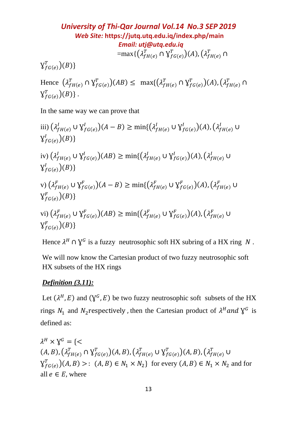University of Thi-Qar Journal Vol.14 No.3 SEP 2019

\nWeb Site: <https://jutq.utq.edu.iq/index.php/main>

\n
$$
Email: utj@utq.edu.iq
$$

\n
$$
= \max\{(\lambda_{fH(e)}^T \cap \lambda_{f(G(e)}^T)(A), (\lambda_{fH(e)}^T \cap \lambda_{f(G(e)}^T)(A)))
$$

 $\operatorname{\mathsf{Y}}_{fG(e)}^T)(B)\}$ 

Hence  $(\lambda_{fH(e)}^T \cap Y_{fG(e)}^T)(AB) \leq \max\{(\lambda_{fH(e)}^T \cap Y_{fG(e)}^T)(A), (\lambda_{fH(e)}^T \cap$  $\operatorname{\mathsf{Y}}_{fG(e)}^T)(B)\}$  .

In the same way we can prove that

iii) 
$$
(\lambda_{fH(e)}^{I} \cup \gamma_{fG(e)}^{I})(A - B) \ge \min\{(\lambda_{fH(e)}^{I} \cup \gamma_{fG(e)}^{I})(A), (\lambda_{fH(e)}^{I} \cup \gamma_{fG(e)}^{I})(B)\}
$$
  
\niv) 
$$
(\lambda_{fH(e)}^{I} \cup \gamma_{fG(e)}^{I})(AB) \ge \min\{(\lambda_{fH(e)}^{I} \cup \gamma_{fG(e)}^{I})(A), (\lambda_{fH(e)}^{I} \cup \gamma_{fG(e)}^{I})(B)\}
$$
  
\nv) 
$$
(\lambda_{fH(e)}^{F} \cup \gamma_{fG(e)}^{F})(A - B) \ge \min\{(\lambda_{fH(e)}^{F} \cup \gamma_{fG(e)}^{F})(A), (\lambda_{fH(e)}^{F} \cup \gamma_{fG(e)}^{F})(B)\}
$$
  
\nvi) 
$$
(\lambda_{fH(e)}^{F} \cup \gamma_{fG(e)}^{F})(AB) \ge \min\{(\lambda_{fH(e)}^{F} \cup \gamma_{fG(e)}^{F})(A), (\lambda_{fH(e)}^{F} \cup \gamma_{fG(e)}^{F})(B)\}
$$

Hence  $\lambda^H \cap \mathcal{Y}^G$  is a fuzzy neutrosophic soft HX subring of a HX ring N.

We will now know the Cartesian product of two fuzzy neutrosophic soft HX subsets of the HX rings

### *Definition (3.11):*

Let  $(\lambda^H, E)$  and  $(\lambda^G, E)$  be two fuzzy neutrosophic soft subsets of the HX rings  $N_1$  and  $N_2$  respectively, then the Cartesian product of  $\lambda^H$  and  $\lambda^G$  is defined as:

 $\lambda^H\times\mathbb{Y}^G=\{<$  $(A, B), (\lambda_{fH(e)}^T \cap Y_{fG(e)}^T)(A, B), (\lambda_{fH(e)}^T \cup Y_{fG(e)}^T)(A, B), (\lambda_{fH(e)}^T \cup$  $\mathsf{Y}_{f \circ (e)}^T$   $(A, B)$  >:  $(A, B) \in N_1 \times N_2$  for every  $(A, B) \in N_1 \times N_2$  and for all  $e \in E$ , where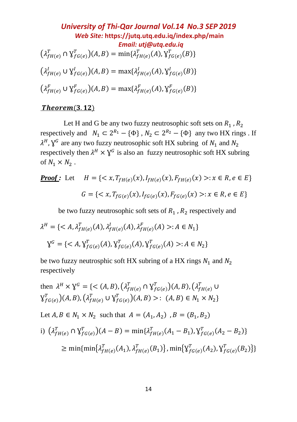**University of Thi-Qar Journal Vol.14 No.3 SEP 2019**  
\n*Web Site:* <https://jutq.utq.edu.iq/index.php/main>  
\n*Email: utj@utq.edu.iq*  
\n
$$
(\lambda_{fH(e)}^T \cap \gamma_{fG(e)}^T)(A, B) = \min\{\lambda_{fH(e)}^T(A), \gamma_{fG(e)}^T(B)\}
$$
\n
$$
(\lambda_{fH(e)}^I \cup \gamma_{fG(e)}^I)(A, B) = \max\{\lambda_{fH(e)}^I(A), \gamma_{fG(e)}^I(B)\}
$$
\n
$$
(\lambda_{fH(e)}^F \cup \gamma_{fG(e)}^F)(A, B) = \max\{\lambda_{fH(e)}^F(A), \gamma_{fG(e)}^F(B)\}
$$

#### $Theorem (3.12)$

Let H and G be any two fuzzy neutrosophic soft sets on  $R_1$ ,  $R_2$ respectively and  $N_1 \subset 2^{R_1} - {\phi}$ ,  $N_2 \subset 2^{R_2} - {\phi}$  any two HX rings. If  $\lambda^H$ ,  $\lambda^G$  are any two fuzzy neutrosophic soft HX subring of  $N_1$  and  $N_2$ respectively then  $\lambda^H \times \lambda^G$  is also an fuzzy neutrosophic soft HX subring of  $N_1 \times N_2$ .

*Proof:* Let 
$$
H = \{ \langle x, T_{fH(e)}(x), I_{fH(e)}(x), F_{fH(e)}(x) \rangle : x \in R, e \in E \}
$$
  
 $G = \{ \langle x, T_{fG(e)}(x), I_{fG(e)}(x), F_{fG(e)}(x) \rangle : x \in R, e \in E \}$ 

be two fuzzy neutrosophic soft sets of  $R_1$ ,  $R_2$  respectively and

$$
\lambda^H = \{ \langle A, \lambda_{fH(e)}^T(A), \lambda_{fH(e)}^I(A), \lambda_{fH(e)}^F(A) \rangle : A \in N_1 \}
$$
  

$$
X^G = \{ \langle A, X_{fG(e)}^T(A), X_{fG(e)}^T(A), X_{fG(e)}^T(A) \rangle : A \in N_2 \}
$$

be two fuzzy neutrosphic soft HX subring of a HX rings  $N_1$  and  $N_2$ respectively

then 
$$
\lambda^H \times \mathbf{Y}^G = \{ \langle (A, B), (\lambda_{fH(e)}^T \cap \mathbf{Y}_{fG(e)}^T)(A, B), (\lambda_{fH(e)}^T \cup \mathbf{Y}_{fG(e)}^T)(A, B), (\lambda_{fH(e)}^T \cup \mathbf{Y}_{fG(e)}^T)(A, B) \rangle : (A, B) \in N_1 \times N_2 \}
$$
  
\nLet  $A, B \in N_1 \times N_2$  such that  $A = (A_1, A_2), B = (B_1, B_2)$   
\n $\text{i})$   $(\lambda_{fH(e)}^T \cap \mathbf{Y}_{fG(e)}^T)(A - B) = \min{\{\lambda_{fH(e)}^T (A_1 - B_1), \lambda_{fG(e)}^T (A_2 - B_2)\}}$   
\n $\geq \min{\{\min{\{\lambda_{fH(e)}^T (A_1), \lambda_{fH(e)}^T (B_1)\}}, \min{\{\mathbf{Y}_{fG(e)}^T (A_2), \mathbf{Y}_{fG(e)}^T (B_2)\}}}$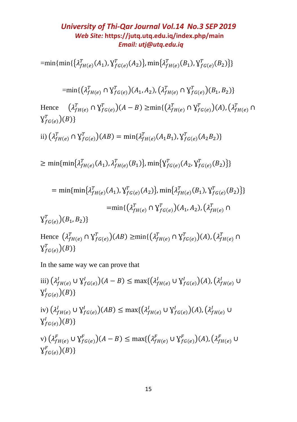$=\min\{\min\{\{\lambda_{fH(e)}^T(A_1),\lambda_{fG(e)}^T(A_2)\},\min\{\lambda_{fH(e)}^T(B_1),\lambda_{fG(e)}^T(B_2)\}\}$ 

$$
= \min\{ \left(\lambda_{fH(e)}^T \cap \mathbf{Y}_{fG(e)}^T\right)(A_1, A_2), \left(\lambda_{fH(e)}^T \cap \mathbf{Y}_{fG(e)}^T\right)(B_1, B_2) \}
$$
  
Hence  $\left(\lambda_{fH(e)}^T \cap \mathbf{Y}_{fG(e)}^T\right)(A - B) \ge \min\{ \left(\lambda_{fH(e)}^T \cap \mathbf{Y}_{fG(e)}^T\right)(A), \left(\lambda_{fH(e)}^T \cap \mathbf{Y}_{fG(e)}^T\right)(B) \}$   
ii)  $\left(\lambda_{fH(e)}^T \cap \mathbf{Y}_{fG(e)}^T\right)(AB) = \min\{ \lambda_{fH(e)}^T (A_1B_1), \mathbf{Y}_{fG(e)}^T (A_2B_2) \}$ 

$$
\geq \min\{\min\{\lambda_{fH(e)}^T(A_1), \lambda_{fH(e)}^T(B_1)\}, \min\{\lambda_{fG(e)}^T(A_2, \lambda_{fG(e)}^T(B_2)\}\}\
$$

$$
= \min\{\min\{\lambda_{fH(e)}^T(A_1), \gamma_{fG(e)}^T(A_2)\}, \min\{\lambda_{fH(e)}^T(B_1), \gamma_{fG(e)}^T(B_2)\}\}\
$$

$$
= \min\{(\lambda_{fH(e)}^T \cap \gamma_{fG(e)}^T)(A_1, A_2), (\lambda_{fH(e)}^T \cap \gamma_{fG(e)}^T)(B_1, B_2)\}
$$

Hence  $(\lambda_{fH(e)}^T \cap Y_{fG(e)}^T)(AB) \ge \min\{(\lambda_{fH(e)}^T \cap Y_{fG(e)}^T)(A), (\lambda_{fH(e)}^T \cap Y_{fG(e)}^T)(A)\}$  $\chi_{fG(e)}^{T})(B)\}$ 

In the same way we can prove that

iii) 
$$
(\lambda_{fH(e)}^l \cup \gamma_{fG(e)}^l)(A - B) \le \max\{(\lambda_{fH(e)}^l \cup \gamma_{fG(e)}^l)(A), (\lambda_{fH(e)}^l \cup \gamma_{fG(e)}^l)(B)\}
$$
  
\niv)  $(\lambda_{fH(e)}^l \cup \gamma_{fG(e)}^l)(AB) \le \max\{(\lambda_{fH(e)}^l \cup \gamma_{fG(e)}^l)(A), (\lambda_{fH(e)}^l \cup \gamma_{fG(e)}^l)(B)\}$   
\nv)  $(\lambda_{fH(e)}^F \cup \gamma_{fG(e)}^F)(A - B) \le \max\{(\lambda_{fH(e)}^F \cup \gamma_{fG(e)}^F)(A), (\lambda_{fH(e)}^F \cup \gamma_{fG(e)}^F)(B)\}$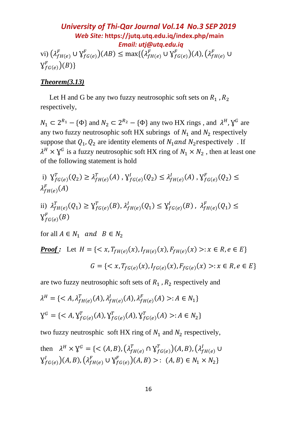*University of Thi-Qar Journal Vol.14 No.3 SEP 2019 Web Site:* **<https://jutq.utq.edu.iq/index.php/main>**  *Email: utj@utq.edu.iq* vi)  $(\lambda_{fH(e)}^F \cup \mathsf{Y}_{fG(e)}^F)(AB) \le \max\{(\lambda_{fH(e)}^F \cup \mathsf{Y}_{fG(e)}^F)(A), (\lambda_{fH(e)}^F \cup$  $\operatorname{\mathsf{Y}}_{fG(e)}^F)(B)\}$ 

### *Theorem(3.13)*

Let H and G be any two fuzzy neutrosophic soft sets on  $R_1$ ,  $R_2$ respectively,

 $N_1 \subset 2^{R_1} - {\phi}$  and  $N_2 \subset 2^{R_2} - {\phi}$  any two HX rings, and  $\lambda^H$ ,  $\lambda^G$  are any two fuzzy neutrosophic soft HX subrings of  $N_1$  and  $N_2$  respectively suppose that  $Q_1, Q_2$  are identity elements of  $N_1$  and  $N_2$  respectively. If  $\lambda^H \times \lambda^G$  is a fuzzy neutrosophic soft HX ring of  $N_1 \times N_2$ , then at least one of the following statement is hold

i) 
$$
\mathcal{Y}_{fG(e)}^T(Q_2) \ge \lambda_{fH(e)}^T(A), \mathcal{Y}_{fG(e)}^I(Q_2) \le \lambda_{fH(e)}^I(A), \mathcal{Y}_{fG(e)}^F(Q_2) \le \lambda_{fH(e)}^F(A)
$$

ii) 
$$
\lambda_{fH(e)}^T(Q_1) \ge \mathbf{Y}_{fG(e)}^T(B), \lambda_{fH(e)}^I(Q_1) \le \mathbf{Y}_{fG(e)}^I(B), \lambda_{fH(e)}^F(Q_1) \le \mathbf{Y}_{fG(e)}^F(B)
$$

for all  $A \in N_1$  and  $B \in N_2$ 

*Proof:* Let 
$$
H = \{ \langle x, T_{fH(e)}(x), I_{fH(e)}(x), F_{fH(e)}(x) \rangle : x \in R, e \in E \}
$$
  
 $G = \{ \langle x, T_{fG(e)}(x), I_{fG(e)}(x), F_{fG(e)}(x) \rangle : x \in R, e \in E \}$ 

are two fuzzy neutrosophic soft sets of  $R_1$ ,  $R_2$  respectively and

$$
\lambda^H = \{ \langle A, \lambda_{fH(e)}^T(A), \lambda_{fH(e)}^I(A), \lambda_{fH(e)}^F(A) \rangle : A \in N_1 \}
$$
  

$$
\lambda^G = \{ \langle A, \lambda_{fG(e)}^T(A), \lambda_{fG(e)}^T(A), \lambda_{fG(e)}^T(A) \rangle : A \in N_2 \}
$$

two fuzzy neutrosphic soft HX ring of  $N_1$  and  $N_2$  respectively,

then 
$$
\lambda^H \times \mathbf{Y}^G = \{ \langle (A, B), (\lambda_{fH(e)}^T \cap \mathbf{Y}_{fG(e)}^T)(A, B), (\lambda_{fH(e)}^I \cup \mathbf{Y}_{fG(e)}^I)(A, B), (\lambda_{fH(e)}^F \cup \mathbf{Y}_{fG(e)}^F)(A, B) \rangle : (A, B) \in N_1 \times N_2 \}
$$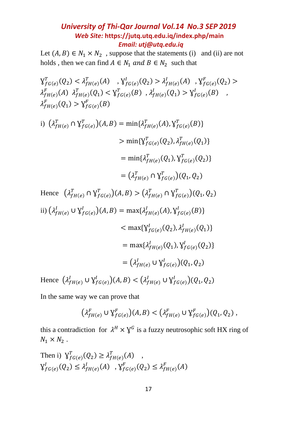Let  $(A, B) \in N_1 \times N_2$ , suppose that the statements (i) and (ii) are not holds, then we can find  $A \in N_1$  and  $B \in N_2$  such that

$$
\begin{aligned}\n\mathbf{Y}_{f G(e)}^T(Q_2) &< \lambda_{f H(e)}^T(A) \quad ,\n\mathbf{Y}_{f G(e)}^I(Q_2) > \lambda_{f H(e)}^I(A) \quad ,\n\mathbf{Y}_{f G(e)}^F(Q_2) > \\
\lambda_{f H(e)}^F(A) \quad \lambda_{f H(e)}^T(Q_1) &< \mathbf{Y}_{f G(e)}^T(B) \quad ,\n\lambda_{f H(e)}^I(Q_1) > \mathbf{Y}_{f G(e)}^I(B) \quad ,\n\lambda_{f H(e)}^F(Q_1) > \mathbf{Y}_{f G(e)}^F(B)\n\end{aligned}
$$

i) 
$$
(\lambda_{fH(e)}^T \cap Y_{fG(e)}^T)(A, B) = \min{\lambda_{fH(e)}^T(A), \gamma_{fG(e)}^T(B)}
$$
  
\n
$$
> \min{\{\gamma_{fG(e)}^T(Q_2), \lambda_{fH(e)}^T(Q_1)\}}
$$
\n
$$
= \min{\lambda_{fH(e)}^T(Q_1), \gamma_{fG(e)}^T(Q_2)\}}
$$
\n
$$
= (\lambda_{fH(e)}^T \cap \gamma_{fG(e)}^T)(Q_1, Q_2)
$$

Hence 
$$
(\lambda_{fH(e)}^T \cap Y_{fG(e)}^T)(A, B) > (\lambda_{fH(e)}^T \cap Y_{fG(e)}^T)(Q_1, Q_2)
$$
  
\nii)  $(\lambda_{fH(e)}^I \cup Y_{fG(e)}^I)(A, B) = \max{\lambda_{fH(e)}^I(A), Y_{fG(e)}^I(B)}$   
\n $< \max{\{Y_{fG(e)}^I(Q_2), \lambda_{fH(e)}^I(Q_1)\}}$   
\n $= \max{\lambda_{fH(e)}^I(Q_1), Y_{fG(e)}^I(Q_2)\}}$   
\n $= (\lambda_{fH(e)}^I \cup Y_{fG(e)}^I)(Q_1, Q_2)$ 

Hence  $(\lambda_{fH(e)}^l \cup \mathcal{Y}_{fG(e)}^l)(A, B) < (\lambda_{fH(e)}^l \cup \mathcal{Y}_{fG(e)}^l)(Q_1, Q_2)$ 

In the same way we can prove that

$$
(\lambda_{fH(e)}^F \cup \mathsf{Y}_{fG(e)}^F)(A,B) < (\lambda_{fH(e)}^F \cup \mathsf{Y}_{fG(e)}^F)(Q_1,Q_2),
$$

this a contradiction for  $\lambda^H \times \gamma^G$  is a fuzzy neutrosophic soft HX ring of  $N_1 \times N_2$ .

Then i) 
$$
\mathcal{Y}_{f}^{T}(Q_2) \ge \lambda_{fH(e)}^{T}(A)
$$
,  
\n $\mathcal{Y}_{f}^{I}(Q_2) \le \lambda_{fH(e)}^{I}(A), \mathcal{Y}_{f}^{F}(Q_2) \le \lambda_{fH(e)}^{F}(A)$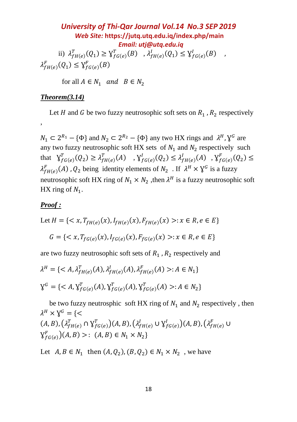*University of Thi-Qar Journal Vol.14 No.3 SEP 2019 Web Site:* **<https://jutq.utq.edu.iq/index.php/main>**  *Email: utj@utq.edu.iq* ii)  $\lambda_{fH(e)}^T(Q_1) \geq \lambda_{fG(e)}^T(B)$ ,  $\lambda_{fH(e)}^I(Q_1) \leq \lambda_{fG(e)}^I(B)$ ,  $\lambda_{fH(e)}^F(Q_1) \leq \lambda_{fG(e)}^F(B)$ 

for all  $A \in N_1$  and  $B \in N_2$ 

#### *Theorem(3.14)*

Let *H* and *G* be two fuzzy neutrosophic soft sets on  $R_1$ ,  $R_2$  respectively

 $N_1 \subset 2^{R_1} - {\phi}$  and  $N_2 \subset 2^{R_2} - {\phi}$  any two HX rings and  $\lambda^H$ ,  $\lambda^G$  are any two fuzzy neutrosophic soft HX sets of  $N_1$  and  $N_2$  respectively such that  $Y_{fG(e)}^T(Q_2) \geq \lambda_{fH(e)}^T(A)$ ,  $Y_{fG(e)}^I(Q_2) \leq \lambda_{fH(e)}^I(A)$ ,  $Y_{fG(e)}^F(Q_2) \leq$  $\lambda_{fH(e)}^F(A)$ ,  $Q_2$  being identity elements of  $N_2$ . If  $\lambda^H \times \mathcal{Y}^G$  is a fuzzy neutrosophic soft HX ring of  $N_1 \times N_2$ , then  $\lambda^H$  is a fuzzy neutrosophic soft HX ring of  $N_1$ .

#### *Proof :*

,

Let 
$$
H = \{ \langle x, T_{fH(e)}(x), I_{fH(e)}(x), F_{fH(e)}(x) \rangle : x \in R, e \in E \}
$$
  
 $G = \{ \langle x, T_{fG(e)}(x), I_{fG(e)}(x), F_{fG(e)}(x) \rangle : x \in R, e \in E \}$ 

are two fuzzy neutrosophic soft sets of  $R_1$ ,  $R_2$  respectively and

$$
\lambda^H = \{ \langle A, \lambda_{fH(e)}^T(A), \lambda_{fH(e)}^I(A), \lambda_{fH(e)}^F(A) \rangle : A \in N_1 \}
$$
  

$$
\lambda^G = \{ \langle A, \lambda_{fG(e)}^T(A), \lambda_{fG(e)}^T(A), \lambda_{fG(e)}^T(A) \rangle : A \in N_2 \}
$$

be two fuzzy neutrosphic soft HX ring of  $N_1$  and  $N_2$  respectively, then  $\lambda^H \times \lambda^G = \{<$  $(A, B), (\lambda_{fH(e)}^T \cap Y_{fG(e)}^T)(A, B), (\lambda_{fH(e)}^I \cup Y_{fG(e)}^I)(A, B), (\lambda_{fH(e)}^F \cup$  $\mathsf{Y}_{fG(e)}^F$  $(A, B) >: (A, B) \in N_1 \times N_2$ 

Let  $A, B \in N_1$  then  $(A, Q_2), (B, Q_2) \in N_1 \times N_2$ , we have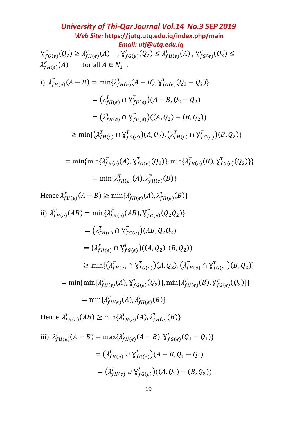University of Thi-Qar Journal Vol.14 No.3 SEP 2019  
\nWeb Site: <https://jutq.utq.edu.iq/index.php/main>  
\n*Email: utj@utq.edu.iq*  
\n
$$
Y_{fG(e)}^T(Q_2) \geq \lambda_{fH(e)}^T(A), Y_{fG(e)}^V(Q_2) \leq \lambda_{fH(e)}^V(A), Y_{fG(e)}^F(Q_2) \leq \lambda_{fH(e)}^F(A)
$$
\nfor all *A* ∈ *N*<sub>1</sub>.  
\ni)  $\lambda_{fH(e)}^T(A - B) = \min{\lambda_{fH(e)}^T(A - B), \lambda_{fG(e)}^T(Q_2 - Q_2)}$   
\n
$$
= (\lambda_{fH(e)}^T \cap Y_{fG(e)}^T)(A - B, Q_2 - Q_2)
$$
\n
$$
= (\lambda_{fH(e)}^T \cap Y_{fG(e)}^T)(A, Q_2), (\lambda_{fH(e)}^T \cap Y_{fG(e)}^T)(B, Q_2))
$$
\n
$$
\geq \min\{(\lambda_{fH(e)}^T \cap Y_{fG(e)}^T)(A, Q_2), (\lambda_{fH(e)}^T \cap Y_{fG(e)}^T)(B, Q_2)\}
$$
\n
$$
= \min\{ \min\{ \lambda_{fH(e)}^T(A), X_{fG(e)}^T(Q_2) \}, \min\{ \lambda_{fH(e)}^T(B), Y_{fG(e)}^T(Q_2) \} \}
$$
\n
$$
= \min\{ \lambda_{fH(e)}^T(A - B) \geq \min\{ \lambda_{fH(e)}^T(A), \lambda_{fH(e)}^T(B) \}
$$
\nHence  $\lambda_{fH(e)}^T(AB) = \min\{ \lambda_{fH(e)}^T(AB), Y_{fG(e)}^T(Q_2Q_2) \}$   
\n
$$
= (\lambda_{fH(e)}^T \cap Y_{fG(e)}^T)(A, Q_2) \cdot (B, Q_2)
$$
\n
$$
= (\lambda_{fH(e)}^T \cap Y_{fG(e)}^T)(A, Q_2) \cdot (A_{fH(e)}^T \cap Y_{fG(e)}^T)(B, Q_2) \}
$$
\n
$$
= \min\{ \lambda_{fH(e)}^T(A), Y_{fG(e)}^T(Q_2) \}, \min\{
$$

iii) 
$$
\lambda_{fH(e)}^l(A - B) = \max\{\lambda_{fH(e)}^l(A - B), \gamma_{fG(e)}^l(Q_1 - Q_1)\}
$$
  
\n
$$
= (\lambda_{fH(e)}^l \cup \gamma_{fG(e)}^l)(A - B, Q_1 - Q_1)
$$
\n
$$
= (\lambda_{fH(e)}^l \cup \gamma_{fG(e)}^l)((A, Q_2) - (B, Q_2))
$$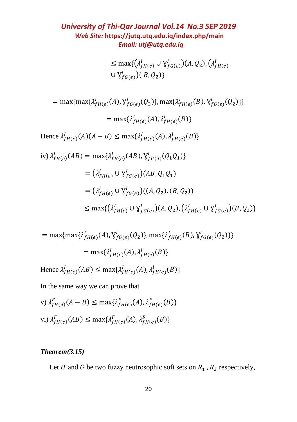$\leq$  max $\{(\lambda_{fH(e)}^l \cup \mathsf{Y}_{fG(e)}^l)(A,Q_2), (\lambda_{fH(e)}^l\})$ ∪  $V_{fG(e)}^I$  $( B, Q_2 )$ }

$$
= \max{\max\{\lambda_{fH(e)}^l(A), \gamma_{fG(e)}^l(Q_2)\}, \max\{\lambda_{fH(e)}^l(B), \gamma_{fG(e)}^l(Q_2)\}\}
$$
  
\n
$$
= \max\{\lambda_{fH(e)}^l(A), \lambda_{fH(e)}^l(B)\}
$$
  
\nHence  $\lambda_{fH(e)}^l(A)(A - B) \le \max\{\lambda_{fH(e)}^l(A), \lambda_{fH(e)}^l(B)\}\$   
\niv)  $\lambda_{fH(e)}^l(AB) = \max\{\lambda_{fH(e)}^l(AB), \gamma_{fG(e)}^l(Q_1Q_1)\}$   
\n
$$
= (\lambda_{fH(e)}^l \cup \gamma_{fG(e)}^l)(AB, Q_1Q_1)
$$
  
\n
$$
= (\lambda_{fH(e)}^l \cup \gamma_{fG(e)}^l)((A, Q_2). (B, Q_2))
$$
  
\n
$$
\le \max\{(\lambda_{fH(e)}^l \cup \gamma_{fG(e)}^l)(A, Q_2), (\lambda_{fH(e)}^l \cup \gamma_{fG(e)}^l)(B, Q_2)\}
$$

$$
= \max\{\max\{\lambda_{fH(e)}^I(A), \gamma_{fG(e)}^I(Q_2)\}, \max\{\lambda_{fH(e)}^I(B), \gamma_{fG(e)}^I(Q_2)\}\}\
$$

$$
= \max\{\lambda_{fH(e)}^I(A), \lambda_{fH(e)}^I(B)\}\
$$

Hence  $\lambda^l_{fH(e)}(AB) \leq \max\{\lambda^l_{fH(e)}(A), \lambda^l_{fH(e)}(B)\}\$ 

In the same way we can prove that

v) 
$$
\lambda_{fH(e)}^F(A - B) \le \max\{\lambda_{fH(e)}^F(A), \lambda_{fH(e)}^F(B)\}
$$
  
vi)  $\lambda_{fH(e)}^F(AB) \le \max\{\lambda_{fH(e)}^F(A), \lambda_{fH(e)}^F(B)\}$ 

## *Theorem(3.15)*

Let *H* and *G* be two fuzzy neutrosophic soft sets on  $R_1$ ,  $R_2$  respectively,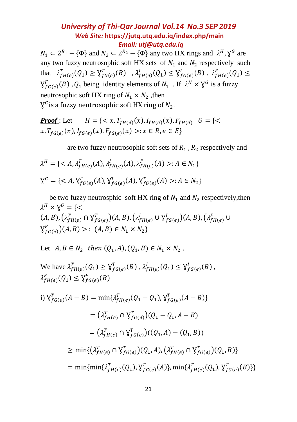$N_1 \subset 2^{R_1} - {\phi}$  and  $N_2 \subset 2^{R_2} - {\phi}$  any two HX rings and  $\lambda^H$ ,  $\lambda^G$  are any two fuzzy neutrosophic soft HX sets of  $N_1$  and  $N_2$  respectively such that  $\lambda_{fH(e)}^T(Q_1) \geq \lambda_{fG(e)}^T(B)$ ,  $\lambda_{fH(e)}^I(Q_1) \leq \lambda_{fG(e)}^I(B)$ ,  $\lambda_{fH(e)}^F(Q_1) \leq$  $\mathbf{Y}_{fG(e)}^F(B)$ ,  $Q_1$  being identity elements of  $N_1$ . If  $\lambda^H \times \mathbf{Y}^G$  is a fuzzy neutrosophic soft HX ring of  $N_1 \times N_2$ , then  $\bm{\mathsf{Y}}^G$ is a fuzzy neutrosophic soft HX ring of  $N_2.$ 

**Proof**: Let  $H = \{ \langle x, T_{fH(e)}(x), I_{fH(e)}(x), F_{fH(e)} \mid G \}$  $x, T_{fG(e)}(x), I_{fG(e)}(x), F_{fG(e)}(x) >: x \in R, e \in E$ 

are two fuzzy neutrosophic soft sets of  $R_1$ ,  $R_2$  respectively and

$$
\lambda^H = \{ \langle A, \lambda_{fH(e)}^T(A), \lambda_{fH(e)}^I(A), \lambda_{fH(e)}^F(A) \rangle : A \in N_1 \}
$$
  

$$
Y^G = \{ \langle A, Y_{fG(e)}^T(A), Y_{fG(e)}^T(A), Y_{fG(e)}^T(A) \rangle : A \in N_2 \}
$$

be two fuzzy neutrosphic soft HX ring of  $N_1$  and  $N_2$  respectively, then  $\lambda^H\times\mathbb{Y}^G=\{<$  $(A, B), (\lambda_{fH(e)}^T \cap Y_{fG(e)}^T)(A, B), (\lambda_{fH(e)}^I \cup Y_{fG(e)}^I)(A, B), (\lambda_{fH(e)}^F \cup$  $Y_{f^G(e)}^F$  $(A, B) >: (A, B) \in N_1 \times N_2$ 

Let 
$$
A, B \in N_2
$$
 then  $(Q_1, A), (Q_1, B) \in N_1 \times N_2$ .

We have 
$$
\lambda_{fH(e)}^T(Q_1) \ge \mathbf{Y}_{fG(e)}^T(B)
$$
,  $\lambda_{fH(e)}^I(Q_1) \le \mathbf{Y}_{fG(e)}^I(B)$ ,  $\lambda_{fH(e)}^F(Q_1) \le \mathbf{Y}_{fG(e)}^F(B)$ 

i) 
$$
\mathbf{V}_{f}^{T}(A - B) = \min{\{\lambda_{fH(e)}^{T}(Q_1 - Q_1), \mathbf{V}_{fG(e)}^{T}(A - B)\}}
$$
  
\n
$$
= (\lambda_{fH(e)}^{T} \cap \mathbf{V}_{fG(e)}^{T})(Q_1 - Q_1, A - B)
$$
\n
$$
= (\lambda_{fH(e)}^{T} \cap \mathbf{V}_{fG(e)}^{T})(Q_1, A) - (Q_1, B))
$$
\n
$$
\geq \min{\{\lambda_{fH(e)}^{T} \cap \mathbf{V}_{fG(e)}^{T}\}(Q_1, A), \{\lambda_{fH(e)}^{T} \cap \mathbf{V}_{fG(e)}^{T}\}(Q_1, B)\}}
$$
\n
$$
= \min{\{\min{\lambda_{fH(e)}^{T}(Q_1), \mathbf{V}_{fG(e)}^{T}(A)\}}, \min{\{\lambda_{fH(e)}^{T}(Q_1), \mathbf{V}_{fG(e)}^{T}(B)\}}
$$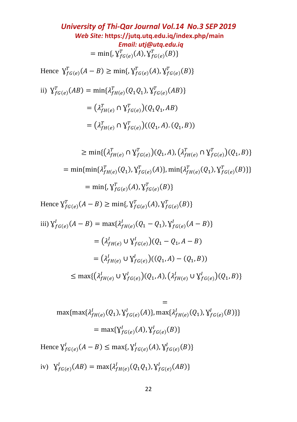*University of Thi-Qar Journal Vol.14 No.3 SEP 2019 Web Site:* **<https://jutq.utq.edu.iq/index.php/main>**  *Email: utj@utq.edu.iq*  $= \min\{ \, Y_{fG(e)}^T(A), Y_{fG(e)}^T(B) \}$ Hence  $\mathbf{\gamma}_{fG(e)}^T(A - B) \ge \min\{ \mathbf{\gamma}_{fG(e)}^T(A), \mathbf{\gamma}_{fG(e)}^T(B) \}$ ii)  $Y_{fG(e)}^T(AB) = \min\{\lambda_{fH(e)}^T(Q_1Q_1), Y_{fG(e)}^T(AB)\}\$  $= (\lambda_{fH(e)}^T \cap Y_{fG(e)}^T)(Q_1Q_1, AB)$  $= (\lambda_{fH(e)}^T \cap Y_{fG(e)}^T)((Q_1, A), (Q_1, B))$  $\geq \min\{(\lambda_{fH(e)}^T \cap \mathsf{Y}_{fG(e)}^T)(Q_1,A), (\lambda_{fH(e)}^T \cap \mathsf{Y}_{fG(e)}^T)(Q_1,B)\}\$ = min{min{ $\lambda_{fH(e)}^T(Q_1)$ ,  $\lambda_{fG(e)}^T(A)$ }, min{ $\lambda_{fH(e)}^T(Q_1)$ ,  $\lambda_{fG(e)}^T(B)$ }}  $= \min\{ \, \gamma^T_{fG(e)}(A), \gamma^T_{fG(e)}(B) \}$ Hence  $Y_{f^G(e)}^T(A - B) \ge \min\{y_{f^G(e)}^T(A), Y_{f^G(e)}^T(B)\}\$ iii)  $\mathcal{Y}_{fG(e)}^I(A-B) = \max\{\lambda_{fH(e)}^I(Q_1 - Q_1), \mathcal{Y}_{fG(e)}^I(A - B)\}\$  $= (\lambda_{fH(e)}^l \cup \{Y_{fG(e)}^l\}) (Q_1 - Q_1, A - B)$  $= (\lambda_{fH(e)}^l \cup \{Y_{fG(e)}^l\}((Q_1, A) - (Q_1, B))$ 

 $\leq \max\{(\lambda_{fH(e)}^l \cup \mathsf{Y}_{fG(e)}^l)(Q_1,A), (\lambda_{fH(e)}^l \cup \mathsf{Y}_{fG(e)}^l)(Q_1,B)\}\$ 

$$
=
$$
  
\n
$$
\max{\max\{\lambda_{fH(e)}^I(Q_1), \gamma_{fG(e)}^I(A)\}}, \max\{\lambda_{fH(e)}^I(Q_1), \gamma_{fG(e)}^I(B)\}\}
$$
  
\n
$$
= \max\{\gamma_{fG(e)}^I(A), \gamma_{fG(e)}^I(B)\}\
$$
  
\nHence  $\gamma_{fG(e)}^I(A - B) \le \max\{\gamma_{fG(e)}^I(A), \gamma_{fG(e)}^I(B)\}\$   
\niv)  $\gamma_{fG(e)}^I(AB) = \max\{\lambda_{fH(e)}^I(Q_1Q_1), \gamma_{fG(e)}^I(AB)\}\$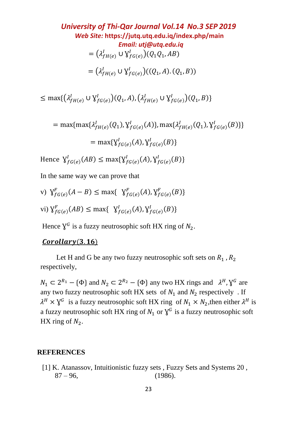*University of Thi-Qar Journal Vol.14 No.3 SEP 2019 Web Site:* **<https://jutq.utq.edu.iq/index.php/main>**  *Email: utj@utq.edu.iq*  $= (\lambda_{fH(e)}^l \cup \mathcal{Y}_{fG(e)}^l)(Q_1Q_1, AB)$  $= (\lambda_{fH(e)}^l \cup \mathsf{Y}_{fG(e)}^l)((Q_1,A),(Q_1,B))$ 

 $\leq \max\{(\lambda_{fH(e)}^l \cup \mathsf{Y}_{fG(e)}^l)(Q_1,A), (\lambda_{fH(e)}^l \cup \mathsf{Y}_{fG(e)}^l)(Q_1,B)\}\$ 

$$
= \max\{\max\{\lambda_{fH(e)}^l(Q_1), \lambda_{fG(e)}^l(A)\}, \max\{\lambda_{fH(e)}^l(Q_1), \lambda_{fG(e)}^l(B)\}\}\
$$

$$
= \max\{\lambda_{fG(e)}^l(A), \lambda_{fG(e)}^l(B)\}\
$$

Hence  $\mathsf{Y}_{fG(e)}^I(AB) \leq \max{\{\mathsf{Y}_{fG(e)}^I(A), \mathsf{Y}_{fG(e)}^I(B)\}}$ 

In the same way we can prove that

v) 
$$
\mathcal{Y}_{f}^{F}(A - B) \le \max\{ \mathcal{Y}_{f}^{F}(A), \mathcal{Y}_{f}^{F}(B)\}
$$
  
\nvi)  $\mathcal{Y}_{f}^{F}(B) \le \max\{ \mathcal{Y}_{f}^{I}(B), \mathcal{Y}_{f}^{I}(B)\}$ 

Hence  $\chi^G$  is a fuzzy neutrosophic soft HX ring of  $N_2$ .

### $Corollary(3.16)$

Let H and G be any two fuzzy neutrosophic soft sets on  $R_1$ ,  $R_2$ respectively,

 $N_1 \subset 2^{R_1} - {\phi}$  and  $N_2 \subset 2^{R_2} - {\phi}$  any two HX rings and  $\lambda^H$ ,  $\lambda^G$  are any two fuzzy neutrosophic soft HX sets of  $N_1$  and  $N_2$  respectively. If  $\lambda^H \times \lambda^G$  is a fuzzy neutrosophic soft HX ring of  $N_1 \times N_2$ , then either  $\lambda^H$  is a fuzzy neutrosophic soft HX ring of  $N_1$  or  $\gamma^G$  is a fuzzy neutrosophic soft HX ring of  $N_2$ .

#### **REFERENCES**

[1] K. Atanassov, Intuitionistic fuzzy sets, Fuzzy Sets and Systems 20,  $87 - 96,$  (1986).